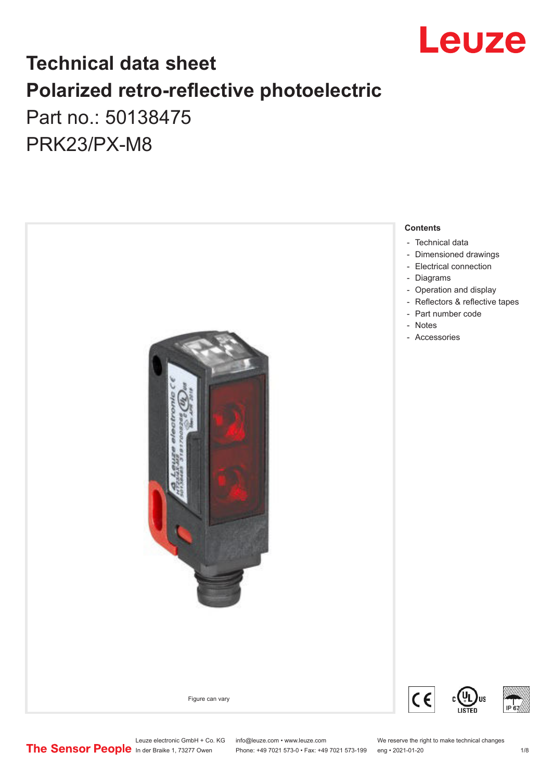

### **Technical data sheet Polarized retro-reflective photoelectric**  Part no.: 50138475

PRK23/PX-M8



Leuze electronic GmbH + Co. KG info@leuze.com • www.leuze.com We reserve the right to make technical changes<br>
The Sensor People in der Braike 1, 73277 Owen Phone: +49 7021 573-0 • Fax: +49 7021 573-199 eng • 2021-01-20

Phone: +49 7021 573-0 • Fax: +49 7021 573-199 eng • 2021-01-20 1/8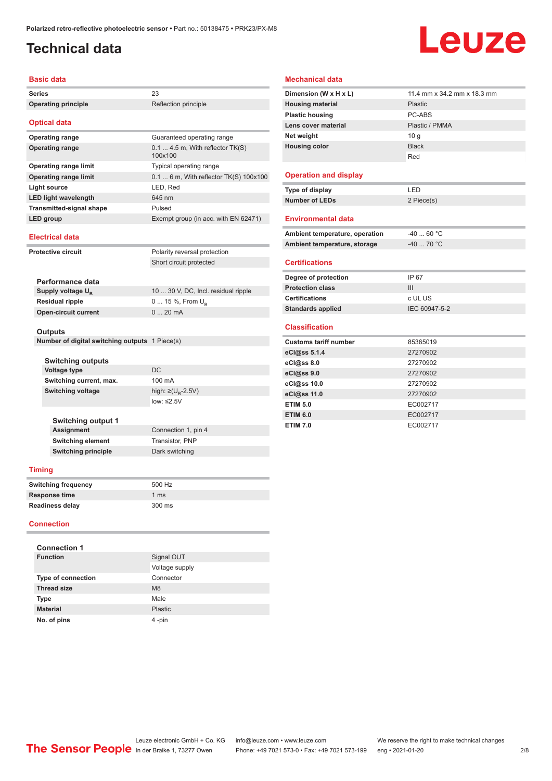### <span id="page-1-0"></span>**Technical data**

# Leuze

#### **Basic data**

|                   | раэн чан                                                  |                                             |
|-------------------|-----------------------------------------------------------|---------------------------------------------|
| Series            |                                                           | 23                                          |
|                   | <b>Operating principle</b>                                | Reflection principle                        |
|                   |                                                           |                                             |
|                   | <b>Optical data</b>                                       |                                             |
|                   | <b>Operating range</b>                                    | Guaranteed operating range                  |
|                   | <b>Operating range</b>                                    | $0.14.5$ m, With reflector TK(S)<br>100x100 |
|                   | <b>Operating range limit</b>                              | Typical operating range                     |
|                   | <b>Operating range limit</b>                              | 0.1  6 m, With reflector TK(S) 100x100      |
|                   | <b>Light source</b>                                       | LED, Red                                    |
|                   | <b>LED light wavelength</b>                               | 645 nm                                      |
|                   | <b>Transmitted-signal shape</b>                           | Pulsed                                      |
|                   | LED group                                                 | Exempt group (in acc. with EN 62471)        |
|                   | <b>Electrical data</b>                                    |                                             |
|                   | <b>Protective circuit</b>                                 | Polarity reversal protection                |
|                   |                                                           | Short circuit protected                     |
|                   |                                                           |                                             |
|                   | Performance data                                          |                                             |
|                   | Supply voltage $U_{\rm B}$                                | 10  30 V, DC, Incl. residual ripple         |
|                   | <b>Residual ripple</b>                                    | 0  15 %, From U <sub>R</sub>                |
|                   | <b>Open-circuit current</b>                               | 020mA                                       |
|                   |                                                           |                                             |
|                   | Outputs<br>Number of digital switching outputs 1 Piece(s) |                                             |
|                   |                                                           |                                             |
|                   | Switching outputs                                         |                                             |
|                   | <b>Voltage type</b>                                       | <b>DC</b>                                   |
|                   | Switching current, max.                                   | 100 mA                                      |
|                   | <b>Switching voltage</b>                                  | high: ≥(U <sub>B</sub> -2.5V)               |
|                   |                                                           | low: ≤2.5V                                  |
|                   |                                                           |                                             |
|                   | Switching output 1                                        |                                             |
|                   | Assignment                                                | Connection 1, pin 4                         |
|                   | Switching element                                         | Transistor, PNP                             |
|                   | <b>Switching principle</b>                                | Dark switching                              |
|                   | <b>Timing</b>                                             |                                             |
|                   | <b>Switching frequency</b>                                | 500 Hz                                      |
|                   | <b>Response time</b>                                      | 1 <sub>ms</sub>                             |
|                   | Readiness delay                                           | 300 ms                                      |
| <b>Connection</b> |                                                           |                                             |
|                   |                                                           |                                             |
|                   | <b>Connection 1</b>                                       |                                             |
|                   | <b>Function</b>                                           | Signal OUT                                  |

Voltage supply

| Dimension (W x H x L)          | 11.4 mm x 34.2 mm x 18.3 mm |
|--------------------------------|-----------------------------|
| <b>Housing material</b>        | Plastic                     |
| <b>Plastic housing</b>         | PC-ABS                      |
| Lens cover material            | Plastic / PMMA              |
| Net weight                     | 10 <sub>q</sub>             |
| <b>Housing color</b>           | <b>Black</b>                |
|                                | Red                         |
|                                |                             |
| <b>Operation and display</b>   |                             |
| Type of display                | LED                         |
| <b>Number of LEDs</b>          | 2 Piece(s)                  |
|                                |                             |
| <b>Environmental data</b>      |                             |
| Ambient temperature, operation | $-40$ 60 °C                 |
| Ambient temperature, storage   | $-40$ 70 °C                 |
|                                |                             |
| <b>Certifications</b>          |                             |
| Degree of protection           | IP 67                       |
| <b>Protection class</b>        | III                         |
| <b>Certifications</b>          | c UL US                     |
| <b>Standards applied</b>       | IEC 60947-5-2               |
|                                |                             |
| <b>Classification</b>          |                             |
| <b>Customs tariff number</b>   | 85365019                    |
| eCl@ss 5.1.4                   | 27270902                    |
| eCl@ss 8.0                     | 27270902                    |
| eCl@ss 9.0                     | 27270902                    |
| eCl@ss 10.0                    | 27270902                    |
| eCl@ss 11.0                    | 27270902                    |
| <b>ETIM 5.0</b>                | EC002717                    |
| <b>ETIM 6.0</b>                | EC002717                    |
| <b>ETIM 7.0</b>                | EC002717                    |
|                                |                             |

**Mechanical data**

### Leuze electronic GmbH + Co. KG info@leuze.com • www.leuze.com We reserve the right to make technical changes<br>
The Sensor People in der Braike 1, 73277 Owen Phone: +49 7021 573-0 • Fax: +49 7021 573-199 eng • 2021-01-20

**Type of connection** Connector **Thread size M8 Type** Male **Material** Plastic **No. of pins** 4 -pin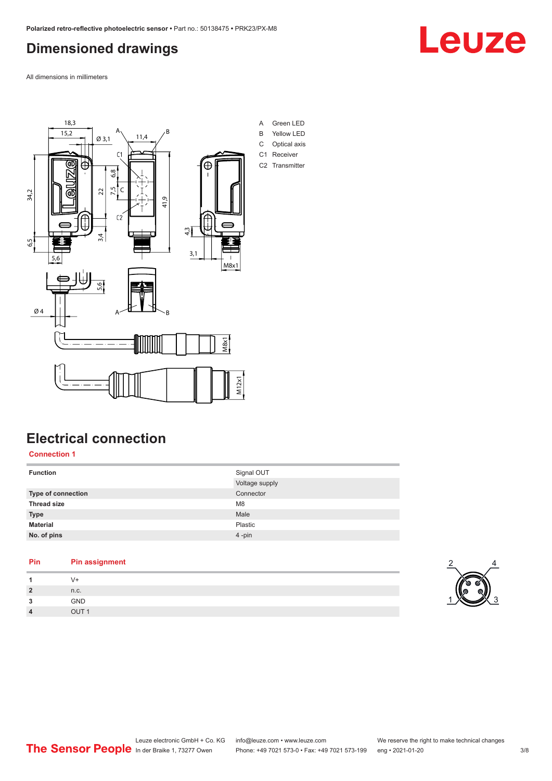### <span id="page-2-0"></span>**Dimensioned drawings**

All dimensions in millimeters



### **Electrical connection**

#### **Connection 1**

| <b>Function</b>    | Signal OUT     |
|--------------------|----------------|
|                    | Voltage supply |
| Type of connection | Connector      |
| <b>Thread size</b> | M <sub>8</sub> |
| <b>Type</b>        | Male           |
| <b>Material</b>    | Plastic        |
| No. of pins        | 4-pin          |
|                    |                |

#### **Pin Pin assignment**

| -1             | $V +$            | $\sim$<br>--            |
|----------------|------------------|-------------------------|
| $\overline{2}$ | n.c.             | n<br>V,<br>$\mathbb{V}$ |
| 3              | GND              | $\sim$                  |
| $\overline{4}$ | OUT <sub>1</sub> |                         |



2

4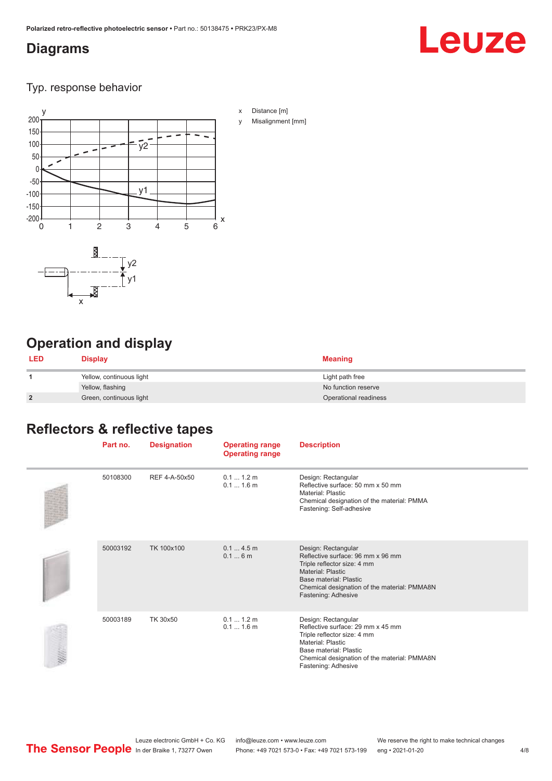### <span id="page-3-0"></span>**Diagrams**

# Leuze

Typ. response behavior



### **Operation and display**

| <b>LED</b>     | <b>Display</b>           | <b>Meaning</b>        |
|----------------|--------------------------|-----------------------|
|                | Yellow, continuous light | Light path free       |
|                | Yellow, flashing         | No function reserve   |
| $\overline{2}$ | Green, continuous light  | Operational readiness |

### **Reflectors & reflective tapes**

| Part no. | <b>Designation</b> | <b>Operating range</b><br><b>Operating range</b> | <b>Description</b>                                                                                                                                                                                                   |
|----------|--------------------|--------------------------------------------------|----------------------------------------------------------------------------------------------------------------------------------------------------------------------------------------------------------------------|
| 50108300 | REF 4-A-50x50      | 0.11.2m<br>$0.11.6$ m                            | Design: Rectangular<br>Reflective surface: 50 mm x 50 mm<br><b>Material: Plastic</b><br>Chemical designation of the material: PMMA<br>Fastening: Self-adhesive                                                       |
| 50003192 | TK 100x100         | 0.14.5m<br>0.16m                                 | Design: Rectangular<br>Reflective surface: 96 mm x 96 mm<br>Triple reflector size: 4 mm<br>Material: Plastic<br>Base material: Plastic<br>Chemical designation of the material: PMMA8N<br>Fastening: Adhesive        |
| 50003189 | TK 30x50           | 0.11.2m<br>$0.11.6$ m                            | Design: Rectangular<br>Reflective surface: 29 mm x 45 mm<br>Triple reflector size: 4 mm<br><b>Material: Plastic</b><br>Base material: Plastic<br>Chemical designation of the material: PMMA8N<br>Fastening: Adhesive |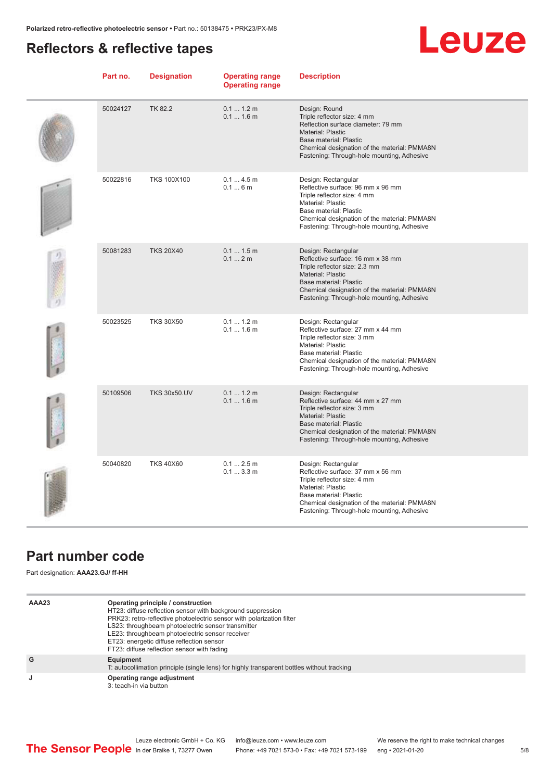### <span id="page-4-0"></span>**Reflectors & reflective tapes**

## Leuze

| Part no. | <b>Designation</b>  | <b>Operating range</b><br><b>Operating range</b> | <b>Description</b>                                                                                                                                                                                                                          |
|----------|---------------------|--------------------------------------------------|---------------------------------------------------------------------------------------------------------------------------------------------------------------------------------------------------------------------------------------------|
| 50024127 | TK 82.2             | 0.1 1.2 m<br>$0.11.6$ m                          | Design: Round<br>Triple reflector size: 4 mm<br>Reflection surface diameter: 79 mm<br><b>Material: Plastic</b><br>Base material: Plastic<br>Chemical designation of the material: PMMA8N<br>Fastening: Through-hole mounting, Adhesive      |
| 50022816 | <b>TKS 100X100</b>  | 0.14.5m<br>0.16m                                 | Design: Rectangular<br>Reflective surface: 96 mm x 96 mm<br>Triple reflector size: 4 mm<br><b>Material: Plastic</b><br>Base material: Plastic<br>Chemical designation of the material: PMMA8N<br>Fastening: Through-hole mounting, Adhesive |
| 50081283 | <b>TKS 20X40</b>    | 0.1 1.5 m<br>0.12m                               | Design: Rectangular<br>Reflective surface: 16 mm x 38 mm<br>Triple reflector size: 2.3 mm<br>Material: Plastic<br>Base material: Plastic<br>Chemical designation of the material: PMMA8N<br>Fastening: Through-hole mounting, Adhesive      |
| 50023525 | <b>TKS 30X50</b>    | 0.11.2m<br>$0.11.6$ m                            | Design: Rectangular<br>Reflective surface: 27 mm x 44 mm<br>Triple reflector size: 3 mm<br><b>Material: Plastic</b><br>Base material: Plastic<br>Chemical designation of the material: PMMA8N<br>Fastening: Through-hole mounting, Adhesive |
| 50109506 | <b>TKS 30x50.UV</b> | 0.11.2m<br>0.11.6m                               | Design: Rectangular<br>Reflective surface: 44 mm x 27 mm<br>Triple reflector size: 3 mm<br><b>Material: Plastic</b><br>Base material: Plastic<br>Chemical designation of the material: PMMA8N<br>Fastening: Through-hole mounting, Adhesive |
| 50040820 | <b>TKS 40X60</b>    | 0.1 2.5 m<br>0.13.3m                             | Design: Rectangular<br>Reflective surface: 37 mm x 56 mm<br>Triple reflector size: 4 mm<br><b>Material: Plastic</b><br>Base material: Plastic<br>Chemical designation of the material: PMMA8N<br>Fastening: Through-hole mounting, Adhesive |

### **Part number code**

Part designation: **AAA23.GJ/ ff-HH**

| AAA23 | Operating principle / construction<br>HT23: diffuse reflection sensor with background suppression<br>PRK23: retro-reflective photoelectric sensor with polarization filter<br>LS23: throughbeam photoelectric sensor transmitter<br>LE23: throughbeam photoelectric sensor receiver<br>ET23: energetic diffuse reflection sensor<br>FT23: diffuse reflection sensor with fading |
|-------|---------------------------------------------------------------------------------------------------------------------------------------------------------------------------------------------------------------------------------------------------------------------------------------------------------------------------------------------------------------------------------|
| G     | Equipment<br>T: autocollimation principle (single lens) for highly transparent bottles without tracking                                                                                                                                                                                                                                                                         |
| J     | Operating range adjustment<br>3: teach-in via button                                                                                                                                                                                                                                                                                                                            |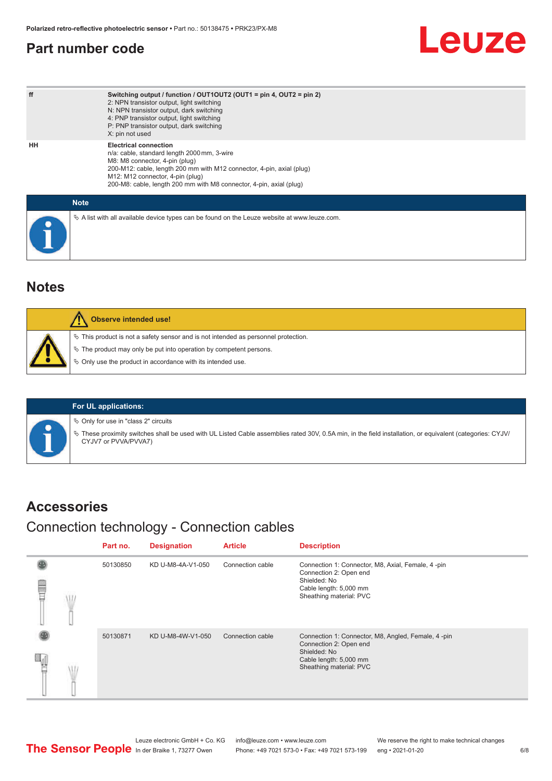### <span id="page-5-0"></span>**Part number code**

## **Leuze**

| ff | Switching output / function / OUT1OUT2 (OUT1 = pin 4, OUT2 = pin 2)<br>2: NPN transistor output, light switching<br>N: NPN transistor output, dark switching<br>4: PNP transistor output, light switching<br>P: PNP transistor output, dark switching<br>X: pin not used                          |
|----|---------------------------------------------------------------------------------------------------------------------------------------------------------------------------------------------------------------------------------------------------------------------------------------------------|
| HH | <b>Electrical connection</b><br>n/a: cable, standard length 2000 mm, 3-wire<br>M8: M8 connector, 4-pin (plug)<br>200-M12: cable, length 200 mm with M12 connector, 4-pin, axial (plug)<br>M12: M12 connector, 4-pin (plug)<br>200-M8: cable, length 200 mm with M8 connector, 4-pin, axial (plug) |
|    | <b>Note</b>                                                                                                                                                                                                                                                                                       |
|    | $\&$ A list with all available device types can be found on the Leuze website at www.leuze.com.                                                                                                                                                                                                   |

### **Notes**

| Observe intended use!                                                                 |
|---------------------------------------------------------------------------------------|
| $\%$ This product is not a safety sensor and is not intended as personnel protection. |
| § The product may only be put into operation by competent persons.                    |
| ♦ Only use the product in accordance with its intended use.                           |
|                                                                                       |



**For UL applications:**

 $\%$  Only for use in "class 2" circuits

ª These proximity switches shall be used with UL Listed Cable assemblies rated 30V, 0.5A min, in the field installation, or equivalent (categories: CYJV/ CYJV7 or PVVA/PVVA7)

#### **Accessories**

### Connection technology - Connection cables

|  | Part no. | <b>Designation</b> | <b>Article</b>   | <b>Description</b>                                                                                                                                |
|--|----------|--------------------|------------------|---------------------------------------------------------------------------------------------------------------------------------------------------|
|  | 50130850 | KD U-M8-4A-V1-050  | Connection cable | Connection 1: Connector, M8, Axial, Female, 4 -pin<br>Connection 2: Open end<br>Shielded: No<br>Cable length: 5,000 mm<br>Sheathing material: PVC |
|  | 50130871 | KD U-M8-4W-V1-050  | Connection cable | Connection 1: Connector, M8, Angled, Female, 4-pin<br>Connection 2: Open end<br>Shielded: No<br>Cable length: 5,000 mm<br>Sheathing material: PVC |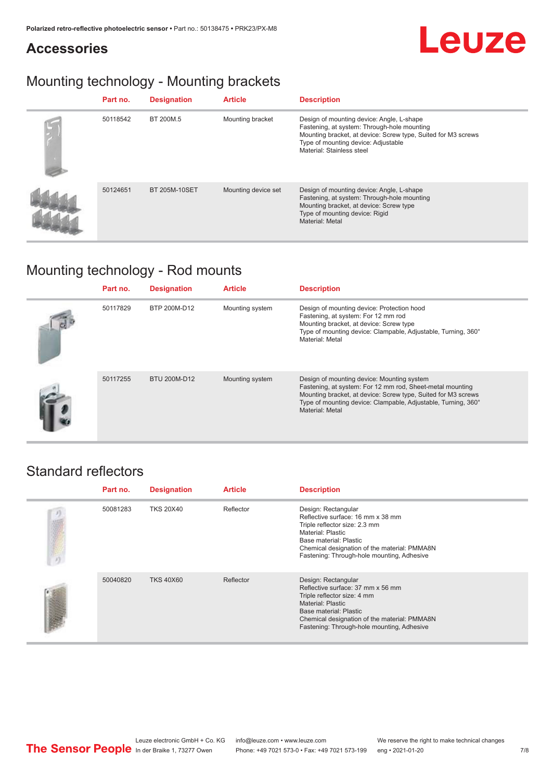### **Accessories**



### Mounting technology - Mounting brackets

| Part no. | <b>Designation</b>   | <b>Article</b>      | <b>Description</b>                                                                                                                                                                                                            |
|----------|----------------------|---------------------|-------------------------------------------------------------------------------------------------------------------------------------------------------------------------------------------------------------------------------|
| 50118542 | BT 200M.5            | Mounting bracket    | Design of mounting device: Angle, L-shape<br>Fastening, at system: Through-hole mounting<br>Mounting bracket, at device: Screw type, Suited for M3 screws<br>Type of mounting device: Adjustable<br>Material: Stainless steel |
| 50124651 | <b>BT 205M-10SET</b> | Mounting device set | Design of mounting device: Angle, L-shape<br>Fastening, at system: Through-hole mounting<br>Mounting bracket, at device: Screw type<br>Type of mounting device: Rigid<br><b>Material: Metal</b>                               |

### Mounting technology - Rod mounts

| Part no. | <b>Designation</b> | <b>Article</b>  | <b>Description</b>                                                                                                                                                                                                                                           |
|----------|--------------------|-----------------|--------------------------------------------------------------------------------------------------------------------------------------------------------------------------------------------------------------------------------------------------------------|
| 50117829 | BTP 200M-D12       | Mounting system | Design of mounting device: Protection hood<br>Fastening, at system: For 12 mm rod<br>Mounting bracket, at device: Screw type<br>Type of mounting device: Clampable, Adjustable, Turning, 360°<br>Material: Metal                                             |
| 50117255 | BTU 200M-D12       | Mounting system | Design of mounting device: Mounting system<br>Fastening, at system: For 12 mm rod, Sheet-metal mounting<br>Mounting bracket, at device: Screw type, Suited for M3 screws<br>Type of mounting device: Clampable, Adjustable, Turning, 360°<br>Material: Metal |

#### Standard reflectors

| Part no. | <b>Designation</b> | <b>Article</b> | <b>Description</b>                                                                                                                                                                                                                     |
|----------|--------------------|----------------|----------------------------------------------------------------------------------------------------------------------------------------------------------------------------------------------------------------------------------------|
| 50081283 | <b>TKS 20X40</b>   | Reflector      | Design: Rectangular<br>Reflective surface: 16 mm x 38 mm<br>Triple reflector size: 2.3 mm<br>Material: Plastic<br>Base material: Plastic<br>Chemical designation of the material: PMMA8N<br>Fastening: Through-hole mounting, Adhesive |
| 50040820 | <b>TKS 40X60</b>   | Reflector      | Design: Rectangular<br>Reflective surface: 37 mm x 56 mm<br>Triple reflector size: 4 mm<br>Material: Plastic<br>Base material: Plastic<br>Chemical designation of the material: PMMA8N<br>Fastening: Through-hole mounting, Adhesive   |